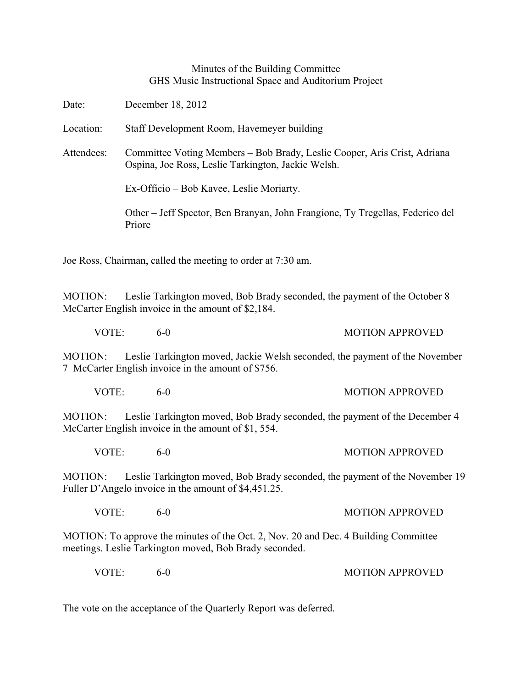## Minutes of the Building Committee GHS Music Instructional Space and Auditorium Project

Date: December 18, 2012

Location: Staff Development Room, Havemeyer building

Attendees: Committee Voting Members – Bob Brady, Leslie Cooper, Aris Crist, Adriana Ospina, Joe Ross, Leslie Tarkington, Jackie Welsh.

Ex-Officio – Bob Kavee, Leslie Moriarty.

Other – Jeff Spector, Ben Branyan, John Frangione, Ty Tregellas, Federico del Priore

Joe Ross, Chairman, called the meeting to order at 7:30 am.

MOTION: Leslie Tarkington moved, Bob Brady seconded, the payment of the October 8 McCarter English invoice in the amount of \$2,184.

VOTE: 6-0 6-0 MOTION APPROVED

MOTION: Leslie Tarkington moved, Jackie Welsh seconded, the payment of the November 7 McCarter English invoice in the amount of \$756.

VOTE: 6-0 60 MOTION APPROVED

MOTION: Leslie Tarkington moved, Bob Brady seconded, the payment of the December 4 McCarter English invoice in the amount of \$1, 554.

VOTE: 6-0 MOTION APPROVED

MOTION: Leslie Tarkington moved, Bob Brady seconded, the payment of the November 19 Fuller D'Angelo invoice in the amount of \$4,451.25.

VOTE: 6-0 60 MOTION APPROVED

MOTION: To approve the minutes of the Oct. 2, Nov. 20 and Dec. 4 Building Committee meetings. Leslie Tarkington moved, Bob Brady seconded.

VOTE: 6-0 60 MOTION APPROVED

The vote on the acceptance of the Quarterly Report was deferred.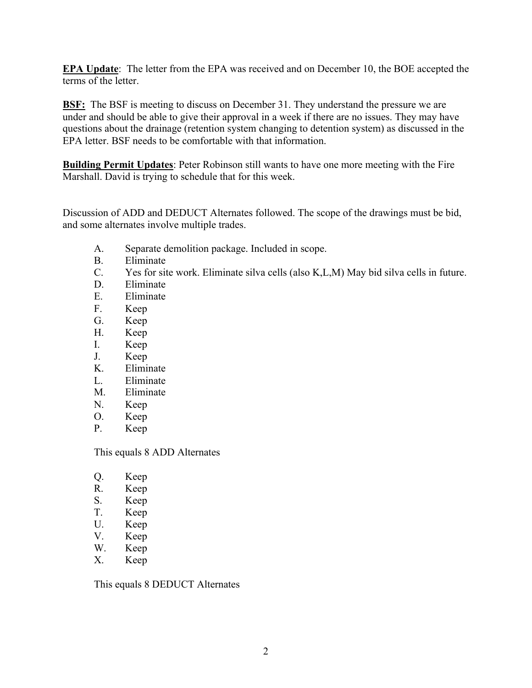**EPA Update**: The letter from the EPA was received and on December 10, the BOE accepted the terms of the letter.

**BSF:** The BSF is meeting to discuss on December 31. They understand the pressure we are under and should be able to give their approval in a week if there are no issues. They may have questions about the drainage (retention system changing to detention system) as discussed in the EPA letter. BSF needs to be comfortable with that information.

**Building Permit Updates**: Peter Robinson still wants to have one more meeting with the Fire Marshall. David is trying to schedule that for this week.

Discussion of ADD and DEDUCT Alternates followed. The scope of the drawings must be bid, and some alternates involve multiple trades.

- A. Separate demolition package. Included in scope.
- B. Eliminate
- C. Yes for site work. Eliminate silva cells (also K,L,M) May bid silva cells in future.
- D. Eliminate
- E. Eliminate
- F. Keep
- G. Keep
- H. Keep
- I. Keep
- J. Keep
- K. Eliminate
- L. Eliminate
- M. Eliminate
- N. Keep
- O. Keep
- P. Keep

This equals 8 ADD Alternates

- Q. Keep
- R. Keep
- S. Keep
- T. Keep
- U. Keep
- V. Keep
- W. Keep
- X. Keep

This equals 8 DEDUCT Alternates